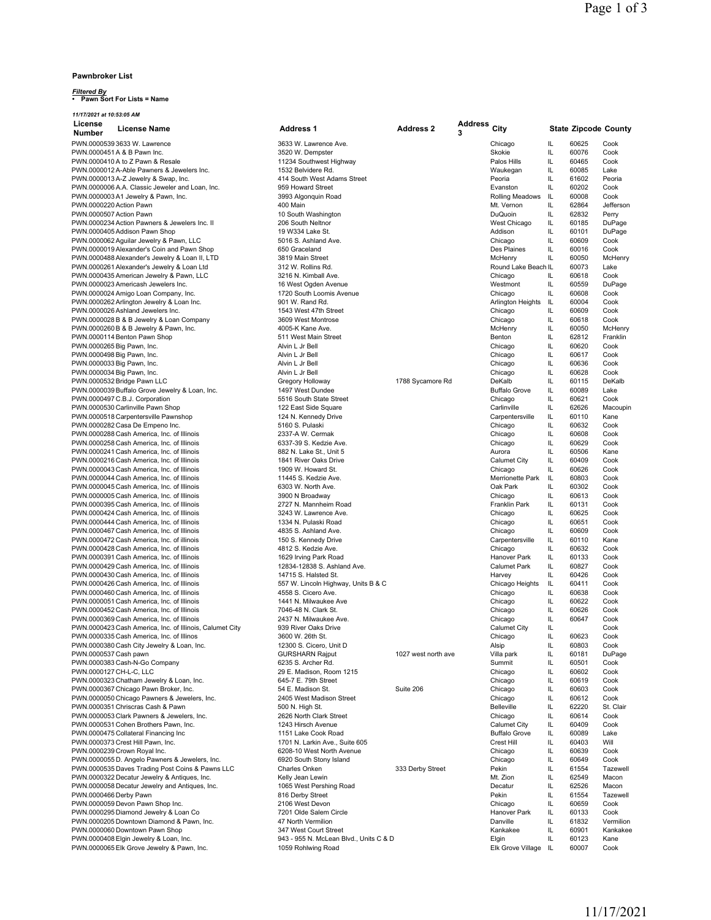## **Pawnbroker List**

*11/17/2021 at 10:53:05 AM*

## *Filtered By* **• Pawn Sort For Lists = Name**

| License<br>Number          | <b>License Name</b>                                                                              | <b>Address 1</b>                                     | <b>Address 2</b>    | <b>Address</b><br>3 | City                         |          | <b>State Zipcode County</b> |                   |
|----------------------------|--------------------------------------------------------------------------------------------------|------------------------------------------------------|---------------------|---------------------|------------------------------|----------|-----------------------------|-------------------|
|                            | PWN.0000539 3633 W. Lawrence                                                                     | 3633 W. Lawrence Ave.                                |                     |                     | Chicago                      | IL       | 60625                       | Cook              |
|                            | PWN.0000451 A & B Pawn Inc.                                                                      | 3520 W. Dempster                                     |                     |                     | Skokie                       | IL       | 60076                       | Cook              |
|                            | PWN.0000410 A to Z Pawn & Resale                                                                 | 11234 Southwest Highway                              |                     |                     | Palos Hills                  | IL       | 60465                       | Cook              |
|                            | PWN.0000012 A-Able Pawners & Jewelers Inc.                                                       | 1532 Belvidere Rd.                                   |                     |                     | Waukegan                     | IL       | 60085                       | Lake              |
|                            | PWN.0000013 A-Z Jewelry & Swap, Inc.                                                             | 414 South West Adams Street                          |                     |                     | Peoria                       | IL       | 61602                       | Peoria            |
|                            | PWN.0000006 A.A. Classic Jeweler and Loan, Inc.                                                  | 959 Howard Street                                    |                     |                     | Evanston                     | IL       | 60202                       | Cook              |
|                            | PWN.0000003 A1 Jewelry & Pawn, Inc.                                                              | 3993 Algonquin Road                                  |                     |                     | Rolling Meadows              | IL       | 60008                       | Cook              |
| PWN.0000220 Action Pawn    |                                                                                                  | 400 Main                                             |                     |                     | Mt. Vernon                   | IL       | 62864                       | Jefferson         |
| PWN.0000507 Action Pawn    |                                                                                                  | 10 South Washington                                  |                     |                     | DuQuoin                      | IL       | 62832                       | Perry             |
|                            | PWN.0000234 Action Pawners & Jewelers Inc. II                                                    | 206 South Neltnor                                    |                     |                     | West Chicago                 | IL       | 60185                       | DuPage            |
|                            | PWN.0000405 Addison Pawn Shop                                                                    | 19 W334 Lake St.<br>5016 S. Ashland Ave.             |                     |                     | Addison<br>Chicago           | IL<br>IL | 60101<br>60609              | DuPage<br>Cook    |
|                            | PWN.0000062 Aguilar Jewelry & Pawn, LLC<br>PWN.0000019 Alexander's Coin and Pawn Shop            | 650 Graceland                                        |                     |                     | Des Plaines                  | IL       | 60016                       | Cook              |
|                            | PWN.0000488 Alexander's Jewelry & Loan II, LTD                                                   | 3819 Main Street                                     |                     |                     | McHenry                      | IL       | 60050                       | McHenry           |
|                            | PWN.0000261 Alexander's Jewelry & Loan Ltd                                                       | 312 W. Rollins Rd.                                   |                     |                     | Round Lake Beach IL          |          | 60073                       | Lake              |
|                            | PWN.0000435 American Jewelry & Pawn, LLC                                                         | 3216 N. Kimball Ave.                                 |                     |                     | Chicago                      | IL       | 60618                       | Cook              |
|                            | PWN.0000023 Americash Jewelers Inc.                                                              | 16 West Ogden Avenue                                 |                     |                     | Westmont                     | IL       | 60559                       | DuPage            |
|                            | PWN.0000024 Amigo Loan Company, Inc.                                                             | 1720 South Loomis Avenue                             |                     |                     | Chicago                      | IL       | 60608                       | Cook              |
|                            | PWN.0000262 Arlington Jewelry & Loan Inc.                                                        | 901 W. Rand Rd.                                      |                     |                     | Arlington Heights            | IL.      | 60004                       | Cook              |
|                            | PWN.0000026 Ashland Jewelers Inc.                                                                | 1543 West 47th Street                                |                     |                     | Chicago                      | IL       | 60609                       | Cook              |
|                            | PWN.0000028 B & B Jewelry & Loan Company                                                         | 3609 West Montrose                                   |                     |                     | Chicago                      | IL       | 60618                       | Cook              |
|                            | PWN.0000260 B & B Jewelry & Pawn, Inc.                                                           | 4005-K Kane Ave.                                     |                     |                     | McHenry                      | IL       | 60050                       | McHenry           |
| PWN.0000265 Big Pawn, Inc. | PWN.0000114 Benton Pawn Shop                                                                     | 511 West Main Street<br>Alvin L Jr Bell              |                     |                     | Benton<br>Chicago            | IL<br>IL | 62812<br>60620              | Franklin<br>Cook  |
| PWN.0000498 Big Pawn, Inc. |                                                                                                  | Alvin L Jr Bell                                      |                     |                     | Chicago                      | IL       | 60617                       | Cook              |
| PWN.0000033 Big Pawn, Inc. |                                                                                                  | Alvin L Jr Bell                                      |                     |                     | Chicago                      | IL       | 60636                       | Cook              |
| PWN.0000034 Big Pawn, Inc. |                                                                                                  | Alvin L Jr Bell                                      |                     |                     | Chicago                      | IL       | 60628                       | Cook              |
|                            | PWN.0000532 Bridge Pawn LLC                                                                      | Gregory Holloway                                     | 1788 Sycamore Rd    |                     | DeKalb                       | IL       | 60115                       | DeKalb            |
|                            | PWN.0000039 Buffalo Grove Jewelry & Loan, Inc.                                                   | 1497 West Dundee                                     |                     |                     | <b>Buffalo Grove</b>         | IL       | 60089                       | Lake              |
|                            | PWN.0000497 C.B.J. Corporation                                                                   | 5516 South State Street                              |                     |                     | Chicago                      | IL       | 60621                       | Cook              |
|                            | PWN.0000530 Carlinville Pawn Shop                                                                | 122 East Side Square                                 |                     |                     | Carlinville                  | IL       | 62626                       | Macoupin          |
|                            | PWN.0000518 Carpentersville Pawnshop                                                             | 124 N. Kennedy Drive                                 |                     |                     | Carpentersville              | IL       | 60110                       | Kane              |
|                            | PWN.0000282 Casa De Empeno Inc.                                                                  | 5160 S. Pulaski                                      |                     |                     | Chicago                      | IL       | 60632                       | Cook              |
|                            | PWN.0000288 Cash America, Inc. of Illinois                                                       | 2337-A W. Cermak                                     |                     |                     | Chicago                      | IL       | 60608                       | Cook              |
|                            | PWN.0000258 Cash America, Inc. of Illinois                                                       | 6337-39 S. Kedzie Ave.                               |                     |                     | Chicago                      | IL<br>IL | 60629                       | Cook              |
|                            | PWN.0000241 Cash America, Inc. of Illinois<br>PWN.0000216 Cash America, Inc. of Illinois         | 882 N. Lake St., Unit 5<br>1841 River Oaks Drive     |                     |                     | Aurora<br>Calumet City       | IL       | 60506<br>60409              | Kane<br>Cook      |
|                            | PWN.0000043 Cash America, Inc. of Illinois                                                       | 1909 W. Howard St.                                   |                     |                     | Chicago                      | IL       | 60626                       | Cook              |
|                            | PWN.0000044 Cash America, Inc. of Illinois                                                       | 11445 S. Kedzie Ave.                                 |                     |                     | Merrionette Park             | IL       | 60803                       | Cook              |
|                            | PWN.0000045 Cash America, Inc. of Illinois                                                       | 6303 W. North Ave.                                   |                     |                     | Oak Park                     | IL       | 60302                       | Cook              |
|                            | PWN.0000005 Cash America, Inc. of Illinois                                                       | 3900 N Broadway                                      |                     |                     | Chicago                      | IL       | 60613                       | Cook              |
|                            | PWN.0000395 Cash America, Inc. of Illinois                                                       | 2727 N. Mannheim Road                                |                     |                     | Franklin Park                | IL       | 60131                       | Cook              |
|                            | PWN.0000424 Cash America, Inc. of Illinois                                                       | 3243 W. Lawrence Ave.                                |                     |                     | Chicago                      | IL       | 60625                       | Cook              |
|                            | PWN.0000444 Cash America, Inc. of Illinois                                                       | 1334 N. Pulaski Road                                 |                     |                     | Chicago                      | IL       | 60651                       | Cook              |
|                            | PWN.0000467 Cash America, Inc. of Illinois                                                       | 4835 S. Ashland Ave.                                 |                     |                     | Chicago                      | IL       | 60609                       | Cook              |
|                            | PWN.0000472 Cash America, Inc. of illinois                                                       | 150 S. Kennedy Drive                                 |                     |                     | Carpentersville              | IL       | 60110                       | Kane              |
|                            | PWN.0000428 Cash America, Inc. of Illinois                                                       | 4812 S. Kedzie Ave.                                  |                     |                     | Chicago                      | IL       | 60632                       | Cook              |
|                            | PWN.0000391 Cash America, Inc. of Illinois<br>PWN.0000429 Cash America, Inc. of Illinois         | 1629 Irving Park Road<br>12834-12838 S. Ashland Ave. |                     |                     | Hanover Park<br>Calumet Park | IL<br>IL | 60133<br>60827              | Cook<br>Cook      |
|                            | PWN.0000430 Cash America, Inc. of Illinois                                                       | 14715 S. Halsted St.                                 |                     |                     | Harvey                       | IL       | 60426                       | Cook              |
|                            | PWN.0000426 Cash America, Inc. of Illinois                                                       | 557 W. Lincoln Highway, Units B & C                  |                     |                     | Chicago Heights              | IL       | 60411                       | Cook              |
|                            | PWN.0000460 Cash America, Inc. of Illinois                                                       | 4558 S. Cicero Ave.                                  |                     |                     | Chicago                      | IL       | 60638                       | Cook              |
|                            | PWN.0000051 Cash America, Inc. of Illinois                                                       | 1441 N. Milwaukee Ave                                |                     |                     | Chicago                      | IL       | 60622                       | Cook              |
|                            | PWN.0000452 Cash America, Inc. of Illinois                                                       | 7046-48 N. Clark St.                                 |                     |                     | Chicago                      | IL       | 60626                       | Cook              |
|                            | PWN.0000369 Cash America, Inc. of Illinois                                                       | 2437 N. Milwaukee Ave.                               |                     |                     | Chicago                      | IL       | 60647                       | Cook              |
|                            | PWN.0000423 Cash America, Inc. of Illinois, Calumet City                                         | 939 River Oaks Drive                                 |                     |                     | Calumet City                 | IL       |                             | Cook              |
|                            | PWN.0000335 Cash America, Inc. of Illinos                                                        | 3600 W. 26th St.                                     |                     |                     | Chicago                      | IL       | 60623                       | Cook              |
| PWN.0000537 Cash pawn      | PWN.0000380 Cash City Jewelry & Loan, Inc.                                                       | 12300 S. Cicero, Unit D<br><b>GURSHARN Rajput</b>    |                     |                     | Alsip<br>Villa park          | IL<br>IL | 60803<br>60181              | Cook<br>DuPage    |
|                            | PWN.0000383 Cash-N-Go Company                                                                    | 6235 S. Archer Rd.                                   | 1027 west north ave |                     | Summit                       | IL       | 60501                       | Cook              |
| PWN.0000127 CH-L-C, LLC    |                                                                                                  | 29 E. Madison, Room 1215                             |                     |                     | Chicago                      | IL       | 60602                       | Cook              |
|                            | PWN.0000323 Chatham Jewelry & Loan, Inc.                                                         | 645-7 E. 79th Street                                 |                     |                     | Chicago                      | IL       | 60619                       | Cook              |
|                            | PWN.0000367 Chicago Pawn Broker, Inc.                                                            | 54 E. Madison St.                                    | Suite 206           |                     | Chicago                      | IL       | 60603                       | Cook              |
|                            | PWN.0000050 Chicago Pawners & Jewelers, Inc.                                                     | 2405 West Madison Street                             |                     |                     | Chicago                      | IL       | 60612                       | Cook              |
|                            | PWN.0000351 Chriscras Cash & Pawn                                                                | 500 N. High St.                                      |                     |                     | <b>Belleville</b>            | IL       | 62220                       | St. Clair         |
|                            | PWN.0000053 Clark Pawners & Jewelers, Inc.                                                       | 2626 North Clark Street                              |                     |                     | Chicago                      | IL       | 60614                       | Cook              |
|                            | PWN.0000531 Cohen Brothers Pawn, Inc.                                                            | 1243 Hirsch Avenue                                   |                     |                     | Calumet City                 | IL       | 60409                       | Cook              |
|                            | PWN.0000475 Collateral Financing Inc                                                             | 1151 Lake Cook Road                                  |                     |                     | <b>Buffalo Grove</b>         | IL       | 60089                       | Lake              |
|                            | PWN.0000373 Crest Hill Pawn, Inc.                                                                | 1701 N. Larkin Ave., Suite 605                       |                     |                     | Crest Hill                   | IL       | 60403                       | Will              |
|                            | PWN.0000239 Crown Royal Inc.                                                                     | 6208-10 West North Avenue                            |                     |                     | Chicago                      | IL       | 60639                       | Cook              |
|                            | PWN.0000055 D. Angelo Pawners & Jewelers, Inc.                                                   | 6920 South Stony Island                              |                     |                     | Chicago                      | IL       | 60649                       | Cook              |
|                            | PWN.0000535 Daves Trading Post Coins & Pawns LLC<br>PWN.0000322 Decatur Jewelry & Antiques, Inc. | Charles Onken<br>Kelly Jean Lewin                    | 333 Derby Street    |                     | Pekin<br>Mt. Zion            | IL<br>IL | 61554<br>62549              | Tazewell<br>Macon |
|                            | PWN.0000058 Decatur Jewelry and Antiques, Inc.                                                   | 1065 West Pershing Road                              |                     |                     | Decatur                      | IL       | 62526                       | Macon             |
| PWN.0000466 Derby Pawn     |                                                                                                  | 816 Derby Street                                     |                     |                     | Pekin                        | IL       | 61554                       | Tazewell          |
|                            | PWN.0000059 Devon Pawn Shop Inc.                                                                 | 2106 West Devon                                      |                     |                     | Chicago                      | IL       | 60659                       | Cook              |
|                            | PWN.0000295 Diamond Jewelry & Loan Co                                                            | 7201 Olde Salem Circle                               |                     |                     | Hanover Park                 | IL       | 60133                       | Cook              |
|                            | PWN.0000205 Downtown Diamond & Pawn, Inc.                                                        | 47 North Vermilion                                   |                     |                     | Danville                     | IL       | 61832                       | Vermilion         |
|                            | PWN.0000060 Downtown Pawn Shop                                                                   | 347 West Court Street                                |                     |                     | Kankakee                     | IL       | 60901                       | Kankakee          |
|                            | PWN.0000408 Elgin Jewelry & Loan, Inc.                                                           | 943 - 955 N. McLean Blvd., Units C & D               |                     |                     | Elgin                        | IL       | 60123                       | Kane              |
|                            | PWN.0000065 Elk Grove Jewelry & Pawn, Inc.                                                       | 1059 Rohlwing Road                                   |                     |                     | Elk Grove Village            | IL       | 60007                       | Cook              |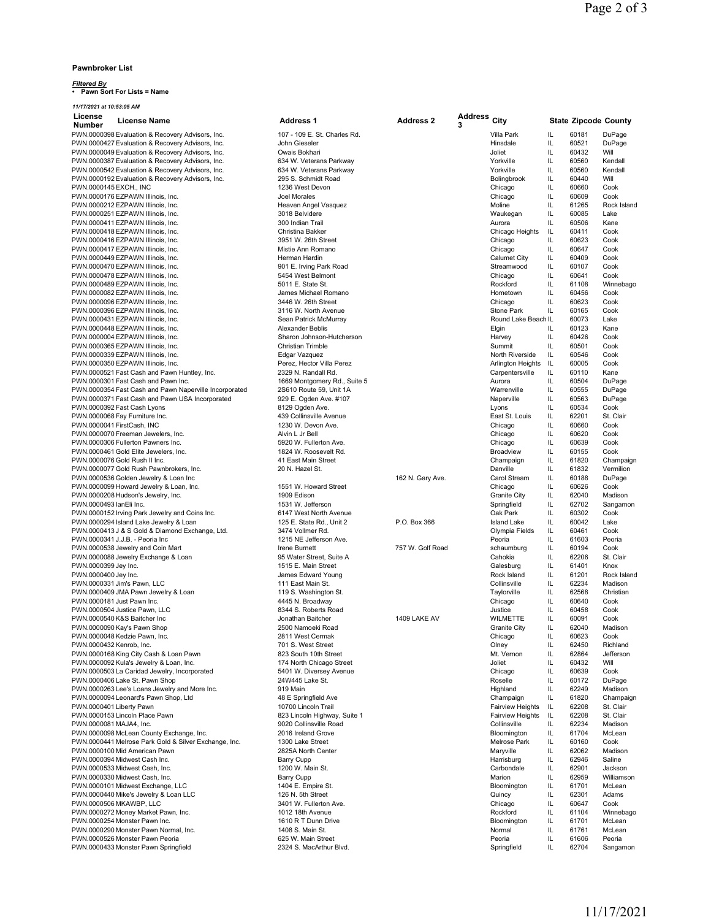## **Pawnbroker List**

*Filtered By* **• Pawn Sort For Lists = Name**

*11/17/2021 at 10:53:05 AM*

| License                    | <b>License Name</b>                                                      | <b>Address 1</b>                              | <b>Address 2</b> | <b>Address</b><br>3 | City                              |           | <b>State Zipcode County</b> |                        |
|----------------------------|--------------------------------------------------------------------------|-----------------------------------------------|------------------|---------------------|-----------------------------------|-----------|-----------------------------|------------------------|
| <b>Number</b>              | PWN.0000398 Evaluation & Recovery Advisors, Inc.                         | 107 - 109 E. St. Charles Rd.                  |                  |                     | Villa Park                        | IL        | 60181                       | DuPage                 |
|                            | PWN.0000427 Evaluation & Recovery Advisors, Inc.                         | John Gieseler                                 |                  |                     | Hinsdale                          | IL        | 60521                       | DuPage                 |
|                            | PWN.0000049 Evaluation & Recovery Advisors, Inc.                         | Owais Bokhari                                 |                  |                     | Joliet                            | IL        | 60432                       | Will                   |
|                            | PWN.0000387 Evaluation & Recovery Advisors, Inc.                         | 634 W. Veterans Parkway                       |                  |                     | Yorkville                         | IL        | 60560                       | Kendall                |
|                            | PWN.0000542 Evaluation & Recovery Advisors, Inc.                         | 634 W. Veterans Parkway                       |                  |                     | Yorkville                         | IL        | 60560                       | Kendall                |
|                            | PWN.0000192 Evaluation & Recovery Advisors, Inc.                         | 295 S. Schmidt Road                           |                  |                     | Bolingbrook                       | IL        | 60440                       | Will                   |
| PWN.0000145 EXCH., INC     |                                                                          | 1236 West Devon                               |                  |                     | Chicago                           | IL        | 60660                       | Cook                   |
|                            | PWN.0000176 EZPAWN Illinois, Inc.                                        | Joel Morales                                  |                  |                     | Chicago                           | IL        | 60609                       | Cook                   |
|                            | PWN.0000212 EZPAWN Illinois, Inc.                                        | Heaven Angel Vasquez                          |                  |                     | Moline                            | IL        | 61265                       | Rock Island            |
|                            | PWN.0000251 EZPAWN Illinois, Inc.                                        | 3018 Belvidere                                |                  |                     | Waukegan                          | IL        | 60085                       | Lake                   |
|                            | PWN.0000411 EZPAWN Illinois, Inc.                                        | 300 Indian Trail                              |                  |                     | Aurora                            | IL        | 60506                       | Kane                   |
|                            | PWN.0000418 EZPAWN Illinois, Inc.                                        | Christina Bakker                              |                  |                     | Chicago Heights                   | IL        | 60411                       | Cook                   |
|                            | PWN.0000416 EZPAWN Illinois, Inc.                                        | 3951 W. 26th Street                           |                  |                     | Chicago                           | IL        | 60623                       | Cook                   |
|                            | PWN.0000417 EZPAWN Illinois, Inc.                                        | Mistie Ann Romano                             |                  |                     | Chicago                           | IL        | 60647                       | Cook                   |
|                            | PWN.0000449 EZPAWN Illinois, Inc.                                        | Herman Hardin                                 |                  |                     | <b>Calumet City</b>               | IL        | 60409                       | Cook                   |
|                            | PWN.0000470 EZPAWN Illinois, Inc.                                        | 901 E. Irving Park Road                       |                  |                     | Streamwood                        | IL        | 60107                       | Cook                   |
|                            | PWN.0000478 EZPAWN Illinois, Inc.                                        | 5454 West Belmont                             |                  |                     | Chicago                           | IL        | 60641                       | Cook                   |
|                            | PWN.0000489 EZPAWN Illinois, Inc.                                        | 5011 E. State St.                             |                  |                     | Rockford                          | IL        | 61108                       | Winnebago              |
|                            | PWN.0000082 EZPAWN Illinois, Inc.                                        | James Michael Romano                          |                  |                     | Hometown                          | IL        | 60456                       | Cook                   |
|                            | PWN.0000096 EZPAWN Illinois, Inc.                                        | 3446 W. 26th Street                           |                  |                     | Chicago                           | IL<br>IL. | 60623<br>60165              | Cook<br>Cook           |
|                            | PWN.0000396 EZPAWN Illinois, Inc.<br>PWN.0000431 EZPAWN Illinois, Inc.   | 3116 W. North Avenue<br>Sean Patrick McMurray |                  |                     | Stone Park<br>Round Lake Beach IL |           | 60073                       | Lake                   |
|                            | PWN.0000448 EZPAWN Illinois, Inc.                                        | Alexander Beblis                              |                  |                     | Elgin                             | IL        | 60123                       | Kane                   |
|                            | PWN.0000004 EZPAWN Illinois, Inc.                                        | Sharon Johnson-Hutcherson                     |                  |                     | Harvey                            | IL        | 60426                       | Cook                   |
|                            | PWN.0000365 EZPAWN Illinois, Inc.                                        | Christian Trimble                             |                  |                     | Summit                            | IL        | 60501                       | Cook                   |
|                            | PWN.0000339 EZPAWN Illinois, Inc.                                        | Edgar Vazquez                                 |                  |                     | North Riverside                   | IL        | 60546                       | Cook                   |
|                            | PWN.0000350 EZPAWN Illinois, Inc.                                        | Perez, Hector Villa Perez                     |                  |                     | Arlington Heights                 | IL        | 60005                       | Cook                   |
|                            | PWN.0000521 Fast Cash and Pawn Huntley, Inc.                             | 2329 N. Randall Rd.                           |                  |                     | Carpentersville                   | IL.       | 60110                       | Kane                   |
|                            | PWN.0000301 Fast Cash and Pawn Inc.                                      | 1669 Montgomery Rd., Suite 5                  |                  |                     | Aurora                            | IL        | 60504                       | DuPage                 |
|                            | PWN.0000354 Fast Cash and Pawn Naperville Incorporated                   | 2S610 Route 59, Unit 1A                       |                  |                     | Warrenville                       | IL        | 60555                       | DuPage                 |
|                            | PWN.0000371 Fast Cash and Pawn USA Incorporated                          | 929 E. Ogden Ave. #107                        |                  |                     | Naperville                        | IL        | 60563                       | DuPage                 |
|                            | PWN.0000392 Fast Cash Lyons                                              | 8129 Ogden Ave.                               |                  |                     | Lyons                             | IL        | 60534                       | Cook                   |
|                            | PWN.0000068 Fay Furniture Inc.                                           | 439 Collinsville Avenue                       |                  |                     | East St. Louis                    | IL        | 62201                       | St. Clair              |
| PWN.0000041 FirstCash, INC |                                                                          | 1230 W. Devon Ave.                            |                  |                     | Chicago                           | IL        | 60660                       | Cook                   |
|                            | PWN.0000070 Freeman Jewelers, Inc.                                       | Alvin L Jr Bell                               |                  |                     | Chicago                           | IL.       | 60620                       | Cook                   |
|                            | PWN.0000306 Fullerton Pawners Inc.                                       | 5920 W. Fullerton Ave.                        |                  |                     | Chicago                           | IL        | 60639                       | Cook                   |
|                            | PWN.0000461 Gold Elite Jewelers, Inc.                                    | 1824 W. Roosevelt Rd.                         |                  |                     | <b>Broadview</b>                  | IL        | 60155                       | Cook                   |
|                            | PWN.0000076 Gold Rush II Inc.                                            | 41 East Main Street                           |                  |                     | Champaign                         | IL        | 61820                       | Champaign              |
|                            | PWN.0000077 Gold Rush Pawnbrokers, Inc.                                  | 20 N. Hazel St.                               |                  |                     | Danville                          | IL.       | 61832                       | Vermilion              |
|                            | PWN.0000536 Golden Jewelry & Loan Inc                                    |                                               | 162 N. Gary Ave. |                     | Carol Stream                      | IL        | 60188                       | DuPage                 |
|                            | PWN.0000099 Howard Jewelry & Loan, Inc.                                  | 1551 W. Howard Street                         |                  |                     | Chicago                           | IL        | 60626                       | Cook                   |
|                            | PWN.0000208 Hudson's Jewelry, Inc.                                       | 1909 Edison                                   |                  |                     | <b>Granite City</b>               | IL        | 62040                       | Madison                |
| PWN.0000493 lanEli Inc.    |                                                                          | 1531 W. Jefferson                             |                  |                     | Springfield                       | IL        | 62702                       | Sangamon               |
|                            | PWN.0000152 Irving Park Jewelry and Coins Inc.                           | 6147 West North Avenue                        |                  |                     | Oak Park                          | IL        | 60302                       | Cook                   |
|                            | PWN.0000294 Island Lake Jewelry & Loan                                   | 125 E. State Rd., Unit 2                      | P.O. Box 366     |                     | <b>Island Lake</b>                | IL        | 60042                       | Lake                   |
|                            | PWN.0000413 J & S Gold & Diamond Exchange, Ltd.                          | 3474 Vollmer Rd.                              |                  |                     | Olympia Fields                    | IL        | 60461                       | Cook                   |
|                            | PWN.0000341 J.J.B. - Peoria Inc                                          | 1215 NE Jefferson Ave.                        |                  |                     | Peoria                            | IL        | 61603                       | Peoria                 |
|                            | PWN.0000538 Jewelry and Coin Mart                                        | Irene Burnett                                 | 757 W. Golf Road |                     | schaumburg                        | IL        | 60194                       | Cook                   |
|                            | PWN.0000088 Jewelry Exchange & Loan                                      | 95 Water Street, Suite A                      |                  |                     | Cahokia                           | IL        | 62206                       | St. Clair              |
| PWN.0000399 Jey Inc.       |                                                                          | 1515 E. Main Street                           |                  |                     | Galesburg<br>Rock Island          | IL<br>IL  | 61401                       | Knox                   |
| PWN.0000400 Jey Inc.       |                                                                          | James Edward Young<br>111 East Main St.       |                  |                     | Collinsville                      | IL        | 61201<br>62234              | Rock Island<br>Madison |
|                            | PWN.0000331 Jim's Pawn, LLC<br>PWN.0000409 JMA Pawn Jewelry & Loan       | 119 S. Washington St.                         |                  |                     | Taylorville                       | IL        | 62568                       | Christian              |
| PWN.0000181 Just Pawn Inc. |                                                                          | 4445 N. Broadway                              |                  |                     | Chicago                           | IL        | 60640                       | Cook                   |
|                            | PWN.0000504 Justice Pawn, LLC                                            | 8344 S. Roberts Road                          |                  |                     | Justice                           | IL.       | 60458                       | Cook                   |
|                            | PWN.0000540 K&S Baitcher Inc                                             | Jonathan Baitcher                             | 1409 LAKE AV     |                     | <b>WILMETTE</b>                   | IL        | 60091                       | Cook                   |
|                            | PWN.0000090 Kay's Pawn Shop                                              | 2500 Namoeki Road                             |                  |                     | <b>Granite City</b>               | IL        | 62040                       | Madison                |
|                            | PWN.0000048 Kedzie Pawn, Inc.                                            | 2811 West Cermak                              |                  |                     | Chicago                           | IL        | 60623                       | Cook                   |
| PWN.0000432 Kenrob, Inc.   |                                                                          | 701 S. West Street                            |                  |                     | Olney                             | IL        | 62450                       | Richland               |
|                            | PWN.0000168 King City Cash & Loan Pawn                                   | 823 South 10th Street                         |                  |                     | Mt. Vernon                        | IL        | 62864                       | Jefferson              |
|                            | PWN.0000092 Kula's Jewelry & Loan, Inc.                                  | 174 North Chicago Street                      |                  |                     | Joliet                            | IL        | 60432                       | Will                   |
|                            | PWN.0000503 La Caridad Jewelry, Incorporated                             | 5401 W. Diversey Avenue                       |                  |                     | Chicago                           | IL        | 60639                       | Cook                   |
|                            | PWN.0000406 Lake St. Pawn Shop                                           | 24W445 Lake St.                               |                  |                     | Roselle                           | IL        | 60172                       | DuPage                 |
|                            | PWN.0000263 Lee's Loans Jewelry and More Inc.                            | 919 Main                                      |                  |                     | Highland                          | IL        | 62249                       | Madison                |
|                            | PWN.0000094 Leonard's Pawn Shop, Ltd                                     | 48 E Springfield Ave                          |                  |                     | Champaign                         | IL        | 61820                       | Champaign              |
| PWN.0000401 Liberty Pawn   |                                                                          | 10700 Lincoln Trail                           |                  |                     | <b>Fairview Heights</b>           | IL        | 62208                       | St. Clair              |
|                            | PWN.0000153 Lincoln Place Pawn                                           | 823 Lincoln Highway, Suite 1                  |                  |                     | <b>Fairview Heights</b>           | IL        | 62208                       | St. Clair              |
| PWN.0000081 MAJA4, Inc.    |                                                                          | 9020 Collinsville Road                        |                  |                     | Collinsville                      | IL        | 62234                       | Madison                |
|                            | PWN.0000098 McLean County Exchange, Inc.                                 | 2016 Ireland Grove                            |                  |                     | Bloomington                       | IL        | 61704                       | McLean                 |
|                            | PWN.0000441 Melrose Park Gold & Silver Exchange, Inc.                    | 1300 Lake Street                              |                  |                     | Melrose Park                      | IL        | 60160                       | Cook                   |
|                            | PWN.0000100 Mid American Pawn                                            | 2825A North Center                            |                  |                     | Maryville                         | IL        | 62062                       | Madison                |
|                            | PWN.0000394 Midwest Cash Inc.                                            | <b>Barry Cupp</b>                             |                  |                     | Harrisburg                        | IL        | 62946                       | Saline                 |
|                            | PWN.0000533 Midwest Cash, Inc.                                           | 1200 W. Main St.                              |                  |                     | Carbondale                        | IL        | 62901                       | Jackson                |
|                            | PWN.0000330 Midwest Cash, Inc.                                           | <b>Barry Cupp</b>                             |                  |                     | Marion                            | IL        | 62959                       | Williamson             |
|                            | PWN.0000101 Midwest Exchange, LLC                                        | 1404 E. Empire St.                            |                  |                     | Bloomington                       | IL        | 61701                       | McLean                 |
|                            | PWN.0000440 Mike's Jewelry & Loan LLC                                    | 126 N. 5th Street                             |                  |                     | Quincy                            | IL        | 62301                       | Adams                  |
|                            | PWN.0000506 MKAWBP, LLC                                                  | 3401 W. Fullerton Ave.                        |                  |                     | Chicago                           | IL        | 60647                       | Cook                   |
|                            | PWN.0000272 Money Market Pawn, Inc.                                      | 1012 18th Avenue                              |                  |                     | Rockford                          | IL        | 61104                       | Winnebago              |
|                            | PWN.0000254 Monster Pawn Inc.                                            | 1610 R T Dunn Drive                           |                  |                     | Bloomington                       | IL        | 61701                       | McLean                 |
|                            | PWN.0000290 Monster Pawn Normal, Inc.<br>PWN.0000526 Monster Pawn Peoria | 1408 S. Main St.<br>625 W. Main Street        |                  |                     | Normal<br>Peoria                  | IL<br>IL  | 61761<br>61606              | McLean<br>Peoria       |
|                            | PWN.0000433 Monster Pawn Springfield                                     | 2324 S. MacArthur Blvd.                       |                  |                     | Springfield                       | IL        | 62704                       | Sangamon               |
|                            |                                                                          |                                               |                  |                     |                                   |           |                             |                        |